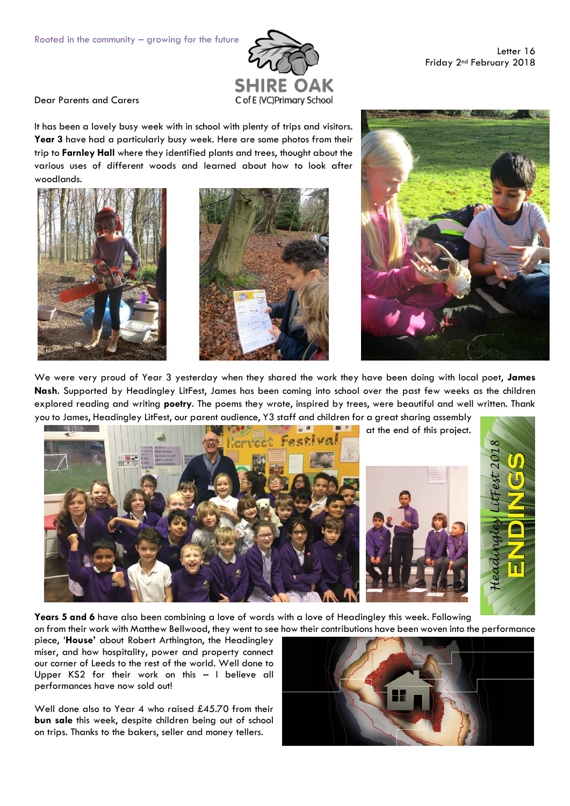

Letter 16 Friday 2nd February 2018

Dear Parents and Carers

It has been a lovely busy week with in school with plenty of trips and visitors. **Year 3** have had a particularly busy week. Here are some photos from their trip to **Farnley Hall** where they identified plants and trees, thought about the various uses of different woods and learned about how to look after woodlands.







We were very proud of Year 3 yesterday when they shared the work they have been doing with local poet, **James Nash**. Supported by Headingley LitFest, James has been coming into school over the past few weeks as the children explored reading and writing **poetry**. The poems they wrote, inspired by trees, were beautiful and well written. Thank you to James, Headingley LitFest, our parent audience, Y3 staff and children for a great sharing assembly



**Years 5 and 6** have also been combining a love of words with a love of Headingley this week. Following on from their work with Matthew Bellwood, they went to see how their contributions have been woven into the performance

piece, '**House'** about Robert Arthington, the Headingley miser, and how hospitality, power and property connect our corner of Leeds to the rest of the world. Well done to Upper KS2 for their work on this – I believe all performances have now sold out!

Well done also to Year 4 who raised £45.70 from their **bun sale** this week, despite children being out of school on trips. Thanks to the bakers, seller and money tellers.

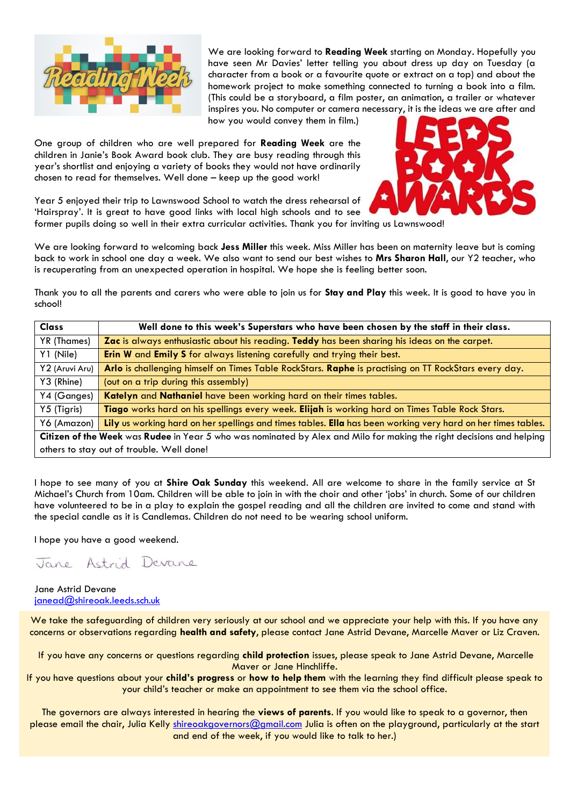

We are looking forward to **Reading Week** starting on Monday. Hopefully you have seen Mr Davies' letter telling you about dress up day on Tuesday (a character from a book or a favourite quote or extract on a top) and about the homework project to make something connected to turning a book into a film. (This could be a storyboard, a film poster, an animation, a trailer or whatever inspires you. No computer or camera necessary, it is the ideas we are after and

how you would convey them in film.)

One group of children who are well prepared for **Reading Week** are the children in Janie's Book Award book club. They are busy reading through this year's shortlist and enjoying a variety of books they would not have ordinarily chosen to read for themselves. Well done – keep up the good work!



Year 5 enjoyed their trip to Lawnswood School to watch the dress rehearsal of 'Hairspray'. It is great to have good links with local high schools and to see former pupils doing so well in their extra curricular activities. Thank you for inviting us Lawnswood!

We are looking forward to welcoming back **Jess Miller** this week. Miss Miller has been on maternity leave but is coming back to work in school one day a week. We also want to send our best wishes to **Mrs Sharon Hall**, our Y2 teacher, who is recuperating from an unexpected operation in hospital. We hope she is feeling better soon.

Thank you to all the parents and carers who were able to join us for **Stay and Play** this week. It is good to have you in school!

| <b>Class</b>                                                                                                          | Well done to this week's Superstars who have been chosen by the staff in their class.                        |  |
|-----------------------------------------------------------------------------------------------------------------------|--------------------------------------------------------------------------------------------------------------|--|
| YR (Thames)                                                                                                           | Zac is always enthusiastic about his reading. Teddy has been sharing his ideas on the carpet.                |  |
| Y1 (Nile)                                                                                                             | Erin W and Emily S for always listening carefully and trying their best.                                     |  |
| Y2 (Aruvi Aru)                                                                                                        | Arlo is challenging himself on Times Table RockStars. Raphe is practising on TT RockStars every day.         |  |
| Y3 (Rhine)                                                                                                            | (out on a trip during this assembly)                                                                         |  |
| Y4 (Ganges)                                                                                                           | Katelyn and Nathaniel have been working hard on their times tables.                                          |  |
| Y5 (Tigris)                                                                                                           | Tiago works hard on his spellings every week. Elijah is working hard on Times Table Rock Stars.              |  |
| Y6 (Amazon)                                                                                                           | Lily us working hard on her spellings and times tables. Ella has been working very hard on her times tables. |  |
| Citizen of the Week was Rudee in Year 5 who was nominated by Alex and Milo for making the right decisions and helping |                                                                                                              |  |
| others to stay out of trouble. Well done!                                                                             |                                                                                                              |  |

I hope to see many of you at **Shire Oak Sunday** this weekend. All are welcome to share in the family service at St Michael's Church from 10am. Children will be able to join in with the choir and other 'jobs' in church. Some of our children have volunteered to be in a play to explain the gospel reading and all the children are invited to come and stand with the special candle as it is Candlemas. Children do not need to be wearing school uniform.

I hope you have a good weekend.

Jane Astrid Devane

Jane Astrid Devane [janead@shireoak.leeds.sch.uk](mailto:janead@shireoak.leeds.sch.uk)

We take the safeguarding of children very seriously at our school and we appreciate your help with this. If you have any concerns or observations regarding **health and safety**, please contact Jane Astrid Devane, Marcelle Maver or Liz Craven.

If you have any concerns or questions regarding **child protection** issues, please speak to Jane Astrid Devane, Marcelle Maver or Jane Hinchliffe.

If you have questions about your **child's progress** or **how to help them** with the learning they find difficult please speak to your child's teacher or make an appointment to see them via the school office.

The governors are always interested in hearing the **views of parents**. If you would like to speak to a governor, then please email the chair, Julia Kelly [shireoakgovernors@gmail.com](mailto:shireoakgovernors@gmail.com) Julia is often on the playground, particularly at the start and end of the week, if you would like to talk to her.)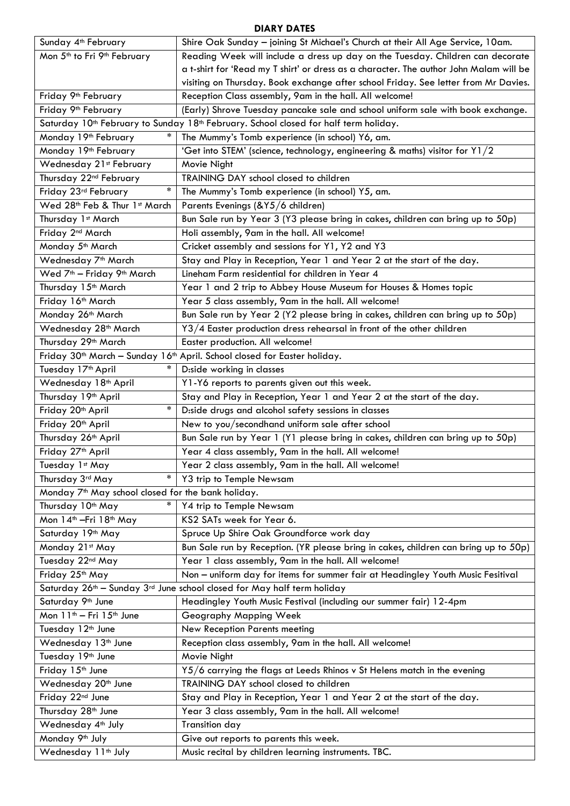## **DIARY DATES**

| Sunday 4 <sup>th</sup> February                                                                                                                                                                   | Shire Oak Sunday - joining St Michael's Church at their All Age Service, 10am.                   |  |  |  |
|---------------------------------------------------------------------------------------------------------------------------------------------------------------------------------------------------|--------------------------------------------------------------------------------------------------|--|--|--|
| Mon 5 <sup>th</sup> to Fri 9 <sup>th</sup> February                                                                                                                                               | Reading Week will include a dress up day on the Tuesday. Children can decorate                   |  |  |  |
|                                                                                                                                                                                                   | a t-shirt for 'Read my T shirt' or dress as a character. The author John Malam will be           |  |  |  |
|                                                                                                                                                                                                   | visiting on Thursday. Book exchange after school Friday. See letter from Mr Davies.              |  |  |  |
| Friday 9 <sup>th</sup> February                                                                                                                                                                   | Reception Class assembly, 9am in the hall. All welcome!                                          |  |  |  |
| Friday 9 <sup>th</sup> February                                                                                                                                                                   | (Early) Shrove Tuesday pancake sale and school uniform sale with book exchange.                  |  |  |  |
|                                                                                                                                                                                                   |                                                                                                  |  |  |  |
| Saturday 10 <sup>th</sup> February to Sunday 18 <sup>th</sup> February. School closed for half term holiday.<br>Monday 19th February<br>$\ast$<br>The Mummy's Tomb experience (in school) Y6, am. |                                                                                                  |  |  |  |
| Monday 19th February                                                                                                                                                                              | 'Get into STEM' (science, technology, engineering & maths) visitor for Y1/2                      |  |  |  |
| Wednesday 21st February                                                                                                                                                                           | Movie Night                                                                                      |  |  |  |
| Thursday 22 <sup>nd</sup> February                                                                                                                                                                | TRAINING DAY school closed to children                                                           |  |  |  |
| $\ast$                                                                                                                                                                                            |                                                                                                  |  |  |  |
| Friday 23rd February                                                                                                                                                                              | The Mummy's Tomb experience (in school) Y5, am.                                                  |  |  |  |
| Wed 28th Feb & Thur 1st March                                                                                                                                                                     | Parents Evenings (&Y5/6 children)                                                                |  |  |  |
| Thursday 1st March                                                                                                                                                                                | Bun Sale run by Year 3 (Y3 please bring in cakes, children can bring up to 50p)                  |  |  |  |
| Friday 2 <sup>nd</sup> March                                                                                                                                                                      | Holi assembly, 9am in the hall. All welcome!                                                     |  |  |  |
| Monday 5 <sup>th</sup> March                                                                                                                                                                      | Cricket assembly and sessions for Y1, Y2 and Y3                                                  |  |  |  |
| Wednesday 7 <sup>th</sup> March                                                                                                                                                                   | Stay and Play in Reception, Year 1 and Year 2 at the start of the day.                           |  |  |  |
| Wed 7 <sup>th</sup> - Friday 9 <sup>th</sup> March                                                                                                                                                | Lineham Farm residential for children in Year 4                                                  |  |  |  |
| Thursday 15 <sup>th</sup> March                                                                                                                                                                   | Year 1 and 2 trip to Abbey House Museum for Houses & Homes topic                                 |  |  |  |
| Friday 16th March                                                                                                                                                                                 | Year 5 class assembly, 9am in the hall. All welcome!                                             |  |  |  |
| Monday 26 <sup>th</sup> March                                                                                                                                                                     | Bun Sale run by Year 2 (Y2 please bring in cakes, children can bring up to 50p)                  |  |  |  |
| Wednesday 28 <sup>th</sup> March                                                                                                                                                                  | Y3/4 Easter production dress rehearsal in front of the other children                            |  |  |  |
| Thursday 29 <sup>th</sup> March                                                                                                                                                                   | Easter production. All welcome!                                                                  |  |  |  |
|                                                                                                                                                                                                   | Friday 30 <sup>th</sup> March - Sunday 16 <sup>th</sup> April. School closed for Easter holiday. |  |  |  |
| $\ast$<br>Tuesday 17 <sup>th</sup> April                                                                                                                                                          | Diside working in classes                                                                        |  |  |  |
| Wednesday 18th April                                                                                                                                                                              | Y1-Y6 reports to parents given out this week.                                                    |  |  |  |
| Thursday 19 <sup>th</sup> April                                                                                                                                                                   | Stay and Play in Reception, Year 1 and Year 2 at the start of the day.                           |  |  |  |
| $\ast$<br>Friday 20 <sup>th</sup> April                                                                                                                                                           | D:side drugs and alcohol safety sessions in classes                                              |  |  |  |
| Friday 20 <sup>th</sup> April                                                                                                                                                                     | New to you/secondhand uniform sale after school                                                  |  |  |  |
| Thursday 26 <sup>th</sup> April                                                                                                                                                                   | Bun Sale run by Year 1 (Y1 please bring in cakes, children can bring up to 50p)                  |  |  |  |
| Friday 27 <sup>th</sup> April                                                                                                                                                                     | Year 4 class assembly, 9am in the hall. All welcome!                                             |  |  |  |
| Tuesday 1st May                                                                                                                                                                                   | Year 2 class assembly, 9am in the hall. All welcome!                                             |  |  |  |
| $\ast$<br>Thursday 3rd May                                                                                                                                                                        | Y3 trip to Temple Newsam                                                                         |  |  |  |
| Monday 7 <sup>th</sup> May school closed for the bank holiday.                                                                                                                                    |                                                                                                  |  |  |  |
| Thursday 10 <sup>th</sup> May                                                                                                                                                                     | Y4 trip to Temple Newsam                                                                         |  |  |  |
| Mon 14 <sup>th</sup> - Fri 18 <sup>th</sup> May                                                                                                                                                   | KS2 SATs week for Year 6.                                                                        |  |  |  |
| Saturday 19th May                                                                                                                                                                                 | Spruce Up Shire Oak Groundforce work day                                                         |  |  |  |
| Monday 21st May                                                                                                                                                                                   | Bun Sale run by Reception. (YR please bring in cakes, children can bring up to 50p)              |  |  |  |
| Tuesday 22nd May                                                                                                                                                                                  | Year 1 class assembly, 9am in the hall. All welcome!                                             |  |  |  |
| Friday 25th May                                                                                                                                                                                   | Non - uniform day for items for summer fair at Headingley Youth Music Fesitival                  |  |  |  |
| Saturday 26th - Sunday 3rd June school closed for May half term holiday                                                                                                                           |                                                                                                  |  |  |  |
| Saturday 9th June                                                                                                                                                                                 |                                                                                                  |  |  |  |
|                                                                                                                                                                                                   | Headingley Youth Music Festival (including our summer fair) 12-4pm                               |  |  |  |
| Mon 11 <sup>th</sup> - Fri 15 <sup>th</sup> June                                                                                                                                                  | Geography Mapping Week                                                                           |  |  |  |
| Tuesday 12 <sup>th</sup> June                                                                                                                                                                     | New Reception Parents meeting                                                                    |  |  |  |
| Wednesday 13 <sup>th</sup> June                                                                                                                                                                   | Reception class assembly, 9am in the hall. All welcome!                                          |  |  |  |
| Tuesday 19th June                                                                                                                                                                                 | Movie Night                                                                                      |  |  |  |
| Friday 15 <sup>th</sup> June                                                                                                                                                                      | Y5/6 carrying the flags at Leeds Rhinos v St Helens match in the evening                         |  |  |  |
| Wednesday 20 <sup>th</sup> June                                                                                                                                                                   | TRAINING DAY school closed to children                                                           |  |  |  |
| Friday 22nd June                                                                                                                                                                                  | Stay and Play in Reception, Year 1 and Year 2 at the start of the day.                           |  |  |  |
| Thursday 28 <sup>th</sup> June                                                                                                                                                                    | Year 3 class assembly, 9am in the hall. All welcome!                                             |  |  |  |
| Wednesday 4 <sup>th</sup> July                                                                                                                                                                    | <b>Transition day</b>                                                                            |  |  |  |
| Monday 9th July                                                                                                                                                                                   | Give out reports to parents this week.                                                           |  |  |  |
| Wednesday 11 <sup>th</sup> July                                                                                                                                                                   | Music recital by children learning instruments. TBC.                                             |  |  |  |